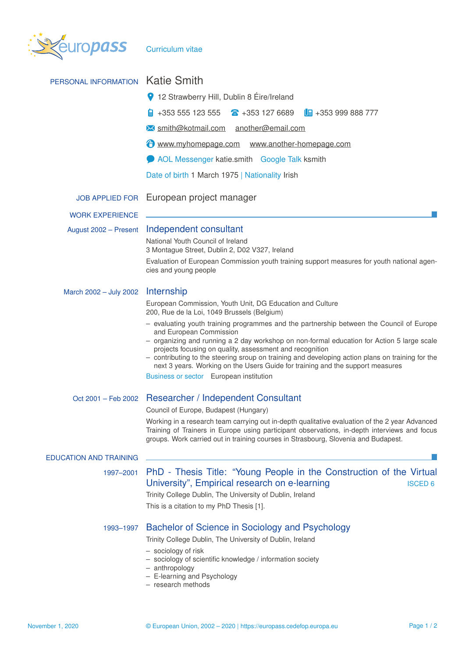

| PERSONAL INFORMATION          | <b>Katie Smith</b>                                                                                                                                                                                                                                                                                                                           |  |  |  |  |  |
|-------------------------------|----------------------------------------------------------------------------------------------------------------------------------------------------------------------------------------------------------------------------------------------------------------------------------------------------------------------------------------------|--|--|--|--|--|
|                               | 9 12 Strawberry Hill, Dublin 8 Éire/Ireland                                                                                                                                                                                                                                                                                                  |  |  |  |  |  |
|                               | +353 555 123 555<br>$\textbf{a}$ +353 127 6689<br>$\Box$ +353 999 888 777                                                                                                                                                                                                                                                                    |  |  |  |  |  |
|                               | M smith@kotmail.com another@email.com                                                                                                                                                                                                                                                                                                        |  |  |  |  |  |
|                               | www.myhomepage.com www.another-homepage.com                                                                                                                                                                                                                                                                                                  |  |  |  |  |  |
|                               | AOL Messenger katie.smith Google Talk ksmith                                                                                                                                                                                                                                                                                                 |  |  |  |  |  |
|                               | Date of birth 1 March 1975   Nationality Irish                                                                                                                                                                                                                                                                                               |  |  |  |  |  |
|                               | JOB APPLIED FOR European project manager                                                                                                                                                                                                                                                                                                     |  |  |  |  |  |
| <b>WORK EXPERIENCE</b>        |                                                                                                                                                                                                                                                                                                                                              |  |  |  |  |  |
| August 2002 - Present         | Independent consultant                                                                                                                                                                                                                                                                                                                       |  |  |  |  |  |
|                               | National Youth Council of Ireland<br>3 Montague Street, Dublin 2, D02 V327, Ireland                                                                                                                                                                                                                                                          |  |  |  |  |  |
|                               | Evaluation of European Commission youth training support measures for youth national agen-<br>cies and young people                                                                                                                                                                                                                          |  |  |  |  |  |
| March 2002 - July 2002        | Internship                                                                                                                                                                                                                                                                                                                                   |  |  |  |  |  |
|                               | European Commission, Youth Unit, DG Education and Culture<br>200, Rue de la Loi, 1049 Brussels (Belgium)                                                                                                                                                                                                                                     |  |  |  |  |  |
|                               | - evaluating youth training programmes and the partnership between the Council of Europe<br>and European Commission                                                                                                                                                                                                                          |  |  |  |  |  |
|                               | - organizing and running a 2 day workshop on non-formal education for Action 5 large scale<br>projects focusing on quality, assessment and recognition<br>- contributing to the steering sroup on training and developing action plans on training for the<br>next 3 years. Working on the Users Guide for training and the support measures |  |  |  |  |  |
|                               | Business or sector European institution                                                                                                                                                                                                                                                                                                      |  |  |  |  |  |
| Oct 2001 - Feb 2002           | <b>Researcher / Independent Consultant</b>                                                                                                                                                                                                                                                                                                   |  |  |  |  |  |
|                               | Council of Europe, Budapest (Hungary)                                                                                                                                                                                                                                                                                                        |  |  |  |  |  |
|                               | Working in a research team carrying out in-depth qualitative evaluation of the 2 year Advanced<br>Training of Trainers in Europe using participant observations, in-depth interviews and focus<br>groups. Work carried out in training courses in Strasbourg, Slovenia and Budapest.                                                         |  |  |  |  |  |
| <b>EDUCATION AND TRAINING</b> |                                                                                                                                                                                                                                                                                                                                              |  |  |  |  |  |
| 1997-2001                     | PhD - Thesis Title: "Young People in the Construction of the Virtual<br>University", Empirical research on e-learning<br><b>ISCED 6</b><br>Trinity College Dublin, The University of Dublin, Ireland<br>This is a citation to my PhD Thesis [1].                                                                                             |  |  |  |  |  |
| 1993-1997                     | Bachelor of Science in Sociology and Psychology<br>Trinity College Dublin, The University of Dublin, Ireland<br>- sociology of risk<br>- sociology of scientific knowledge / information society<br>- anthropology<br>- E-learning and Psychology<br>- research methods                                                                      |  |  |  |  |  |
|                               |                                                                                                                                                                                                                                                                                                                                              |  |  |  |  |  |